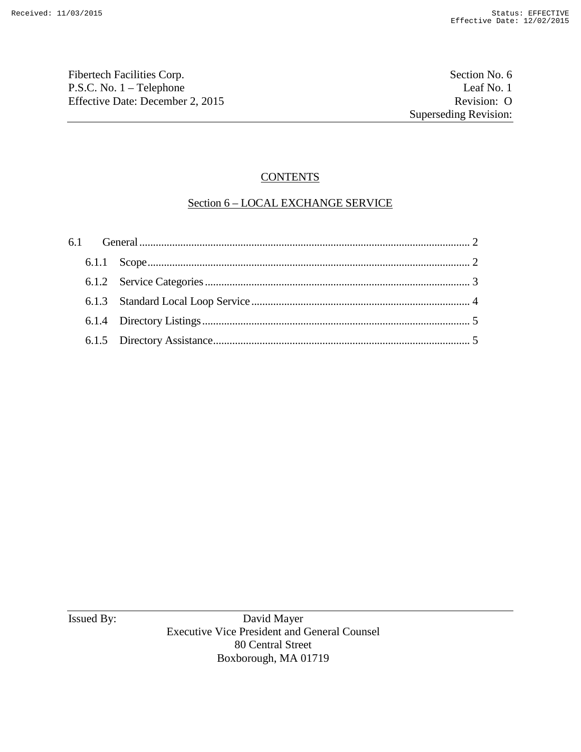Fibertech Facilities Corp. Section No. 6 P.S.C. No. 1 – Telephone Leaf No. 1<br>
Effective Date: December 2, 2015 Revision: O Effective Date: December 2, 2015

# **CONTENTS**

# Section 6 – LOCAL EXCHANGE SERVICE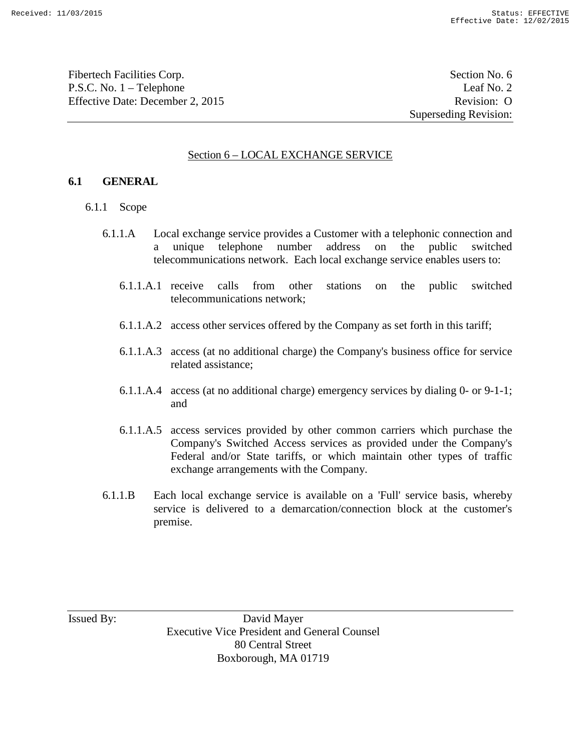Fibertech Facilities Corp. Section No. 6 P.S.C. No. 1 – Telephone Leaf No. 2 Effective Date: December 2, 2015 Revision: O

Superseding Revision:

### Section 6 – LOCAL EXCHANGE SERVICE

#### **6.1 GENERAL**

- 6.1.1 Scope
	- 6.1.1.A Local exchange service provides a Customer with a telephonic connection and a unique telephone number address on the public switched telecommunications network. Each local exchange service enables users to:
		- 6.1.1.A.1 receive calls from other stations on the public switched telecommunications network;
		- 6.1.1.A.2 access other services offered by the Company as set forth in this tariff;
		- 6.1.1.A.3 access (at no additional charge) the Company's business office for service related assistance;
		- 6.1.1.A.4 access (at no additional charge) emergency services by dialing 0- or 9-1-1; and
		- 6.1.1.A.5 access services provided by other common carriers which purchase the Company's Switched Access services as provided under the Company's Federal and/or State tariffs, or which maintain other types of traffic exchange arrangements with the Company.
	- 6.1.1.B Each local exchange service is available on a 'Full' service basis, whereby service is delivered to a demarcation/connection block at the customer's premise.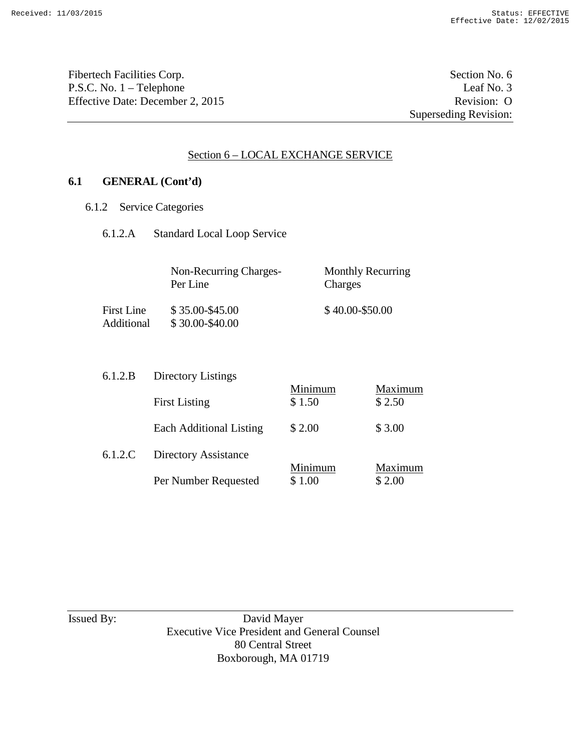Fibertech Facilities Corp. Section No. 6 P.S.C. No. 1 – Telephone Leaf No. 3<br>
Effective Date: December 2, 2015 Revision: O Effective Date: December 2, 2015

Superseding Revision:

### Section 6 – LOCAL EXCHANGE SERVICE

# **6.1 GENERAL (Cont'd)**

- 6.1.2 Service Categories
	- 6.1.2.A Standard Local Loop Service

|                          | Non-Recurring Charges-<br>Per Line | <b>Monthly Recurring</b><br>Charges |
|--------------------------|------------------------------------|-------------------------------------|
| First Line<br>Additional | \$35.00-\$45.00<br>\$30.00-\$40.00 | $$40.00 - $50.00$                   |

| 6.1.2.B | Directory Listings             |         |         |  |  |
|---------|--------------------------------|---------|---------|--|--|
|         |                                | Minimum | Maximum |  |  |
|         | <b>First Listing</b>           | \$1.50  | \$2.50  |  |  |
|         | <b>Each Additional Listing</b> | \$ 2.00 | \$3.00  |  |  |
| 6.1.2.C | Directory Assistance           |         |         |  |  |
|         |                                | Minimum | Maximum |  |  |
|         | Per Number Requested           | \$1.00  | \$2.00  |  |  |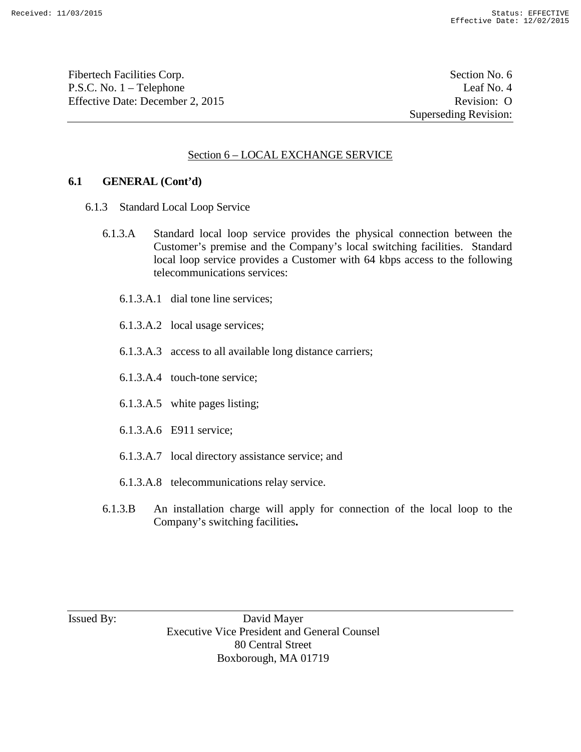Fibertech Facilities Corp. Section No. 6 P.S.C. No. 1 – Telephone Leaf No. 4 Effective Date: December 2, 2015 Revision: O

Superseding Revision:

### Section 6 – LOCAL EXCHANGE SERVICE

#### **6.1 GENERAL (Cont'd)**

- 6.1.3 Standard Local Loop Service
	- 6.1.3.A Standard local loop service provides the physical connection between the Customer's premise and the Company's local switching facilities. Standard local loop service provides a Customer with 64 kbps access to the following telecommunications services:
		- 6.1.3.A.1 dial tone line services;
		- 6.1.3.A.2 local usage services;
		- 6.1.3.A.3 access to all available long distance carriers;
		- 6.1.3.A.4 touch-tone service;
		- 6.1.3.A.5 white pages listing;
		- 6.1.3.A.6 E911 service;
		- 6.1.3.A.7 local directory assistance service; and
		- 6.1.3.A.8 telecommunications relay service.
	- 6.1.3.B An installation charge will apply for connection of the local loop to the Company's switching facilities**.**